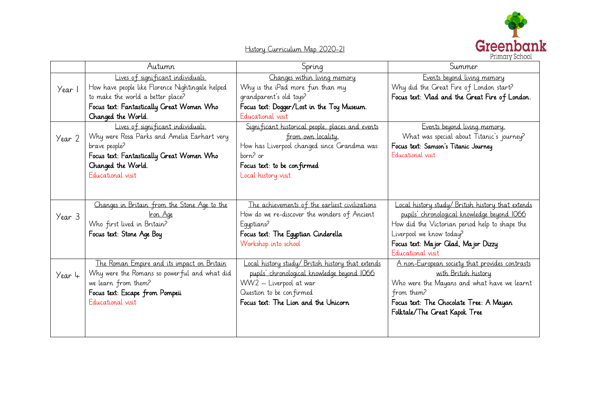

History Curriculum Map 2020-21

|        | Autumn                                           | Spring                                            | Summer                                            |
|--------|--------------------------------------------------|---------------------------------------------------|---------------------------------------------------|
| Year 1 | Lives of significant individuals.                | Changes within living memory                      | Events beyond living memory                       |
|        | How have people like Florence Nightingale helped | Why is the iPad more fun than my                  | Why did the Great Fire of London start?           |
|        | to make the world a better place?                | grandparent's old toys?                           | Focus text: Vlad and the Great Fire of London.    |
|        | Focus text: Fantastically Great Women Who        | Focus text: Dogger/Lost in the Toy Museum.        |                                                   |
|        | Changed the World.                               | Educational visit                                 |                                                   |
|        | Lives of significant individuals.                | Significant historical people, places and events  | Events beyond living memory.                      |
| Year 2 | Why were Rosa Parks and Amelia Earhart very      | from own locality.                                | What was special about Titanic's journey?         |
|        | brave people?                                    | How has Liverpool changed since Grandma was       | Focus text: Samson's Titanic Journey              |
|        | Focus text: Fantastically Great Women Who        | born? or                                          | Educational visit                                 |
|        | Changed the World.                               | Focus text: to be confirmed                       |                                                   |
|        | Educational visit                                | Local history visit.                              |                                                   |
|        |                                                  |                                                   |                                                   |
|        |                                                  |                                                   |                                                   |
| Year 3 | Changes in Britain from the Stone Age to the     | The achievements of the earliest civilizations    | Local history study/ British history that extends |
|        | Iron Age                                         | How do we re-discover the wonders of Ancient      | pupils' chronological knowledge beyond IO66       |
|        | Who first lived in Britain?                      | Equptians?                                        | How did the Victorian period help to shape the    |
|        | Focus text: Stone Age Boy                        | Focus text: The Egyptian Cinderella               | Liverpool we know today?                          |
|        |                                                  | Workshop into school                              | Focus text: Major Glad, Major Dizzy               |
|        |                                                  |                                                   | Educational visit                                 |
| Year 4 | The Roman Empire and its impact on Britain       | Local history study/ British history that extends | A non-European society that provides contrasts    |
|        | Why were the Romans so powerful and what did     | pupils' chronological knowledge beyond IO66       | with British history                              |
|        | we learn from them?                              | WW2 - Liverpool at war                            | Who were the Mayans and what have we learnt       |
|        | Focus text: Escape from Pompeii                  | Question to be confirmed                          | from them?                                        |
|        | Educational visit                                | Focus text: The Lion and the Unicorn              | Focus text: The Chocolate Tree: A Mayan           |
|        |                                                  |                                                   | Folktale/The Great Kapok Tree                     |
|        |                                                  |                                                   |                                                   |
|        |                                                  |                                                   |                                                   |